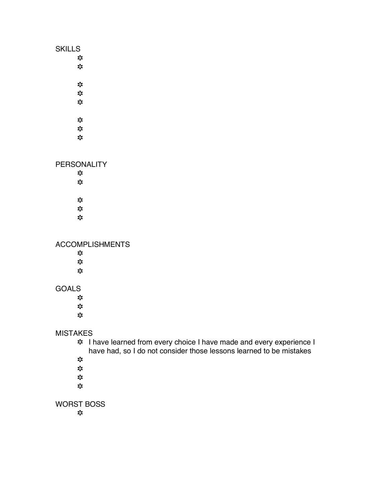| <b>SKILLS</b><br>$\ddot{\phantom{a}}$<br>$\ddot{\mathbf{x}}$               |  |
|----------------------------------------------------------------------------|--|
| $\ddot{\phantom{a}}$<br>$z^{\prime}_{i}$<br>$\ddot{\mathbf{x}}$            |  |
| $\mathbf{r}_i$<br>$\mathbf{r}_i^{\prime}$<br>$\ddot{\mathbf{z}}$           |  |
| <b>PERSONALITY</b><br>☆<br>$\ddot{\mathbf{x}}$                             |  |
| $\ddot{\cdot}$<br>$z^{\prime}_{\rm s}$<br>☆                                |  |
| <b>ACCOMPLISHMENTS</b><br>☆<br>$\ddot{\phantom{a}}$<br>$\ddot{\mathbf{z}}$ |  |
| <b>GOALS</b><br>$\ddot{\phantom{a}}$<br>$\ddot{\phantom{a}}$<br>☆          |  |

MISTAKES

**※** I have learned from every choice I have made and every experience I have had, so I do not consider those lessons learned to be mistakes

- $\mathbf{S}^{\prime\bullet}_{\mathbf{S}^{\bullet}}$
- $\mathbf{S}^{\prime\bullet}_{\mathbf{S}^{\bullet}}$
- $\mathbf{s}_i^{\prime}\mathbf{s}$
- $\mathbf{s}_i^{\prime}\mathbf{s}$

WORST BOSS

 $\frac{1}{2}$